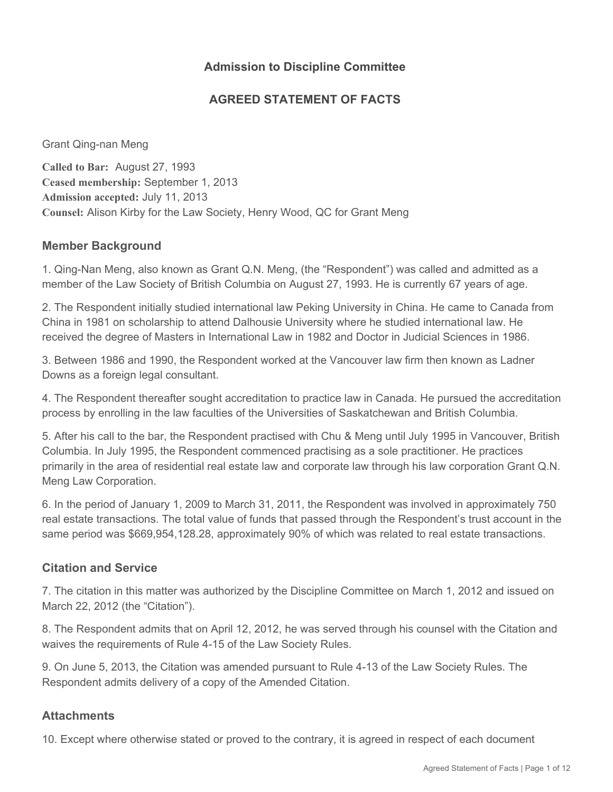## **Admission to Discipline Committee**

## **AGREED STATEMENT OF FACTS**

Grant Qing-nan Meng

**Called to Bar:** August 27, 1993 **Ceased membership:** September 1, 2013 **Admission accepted:** July 11, 2013 **Counsel:** Alison Kirby for the Law Society, Henry Wood, QC for Grant Meng

### **Member Background**

1. Qing-Nan Meng, also known as Grant Q.N. Meng, (the "Respondent") was called and admitted as a member of the Law Society of British Columbia on August 27, 1993. He is currently 67 years of age.

2. The Respondent initially studied international law Peking University in China. He came to Canada from China in 1981 on scholarship to attend Dalhousie University where he studied international law. He received the degree of Masters in International Law in 1982 and Doctor in Judicial Sciences in 1986.

3. Between 1986 and 1990, the Respondent worked at the Vancouver law firm then known as Ladner Downs as a foreign legal consultant.

4. The Respondent thereafter sought accreditation to practice law in Canada. He pursued the accreditation process by enrolling in the law faculties of the Universities of Saskatchewan and British Columbia.

5. After his call to the bar, the Respondent practised with Chu & Meng until July 1995 in Vancouver, British Columbia. In July 1995, the Respondent commenced practising as a sole practitioner. He practices primarily in the area of residential real estate law and corporate law through his law corporation Grant Q.N. Meng Law Corporation.

6. In the period of January 1, 2009 to March 31, 2011, the Respondent was involved in approximately 750 real estate transactions. The total value of funds that passed through the Respondent's trust account in the same period was \$669,954,128.28, approximately 90% of which was related to real estate transactions.

#### **Citation and Service**

7. The citation in this matter was authorized by the Discipline Committee on March 1, 2012 and issued on March 22, 2012 (the "Citation").

8. The Respondent admits that on April 12, 2012, he was served through his counsel with the Citation and waives the requirements of Rule 4-15 of the Law Society Rules.

9. On June 5, 2013, the Citation was amended pursuant to Rule 4-13 of the Law Society Rules. The Respondent admits delivery of a copy of the Amended Citation.

#### **Attachments**

10. Except where otherwise stated or proved to the contrary, it is agreed in respect of each document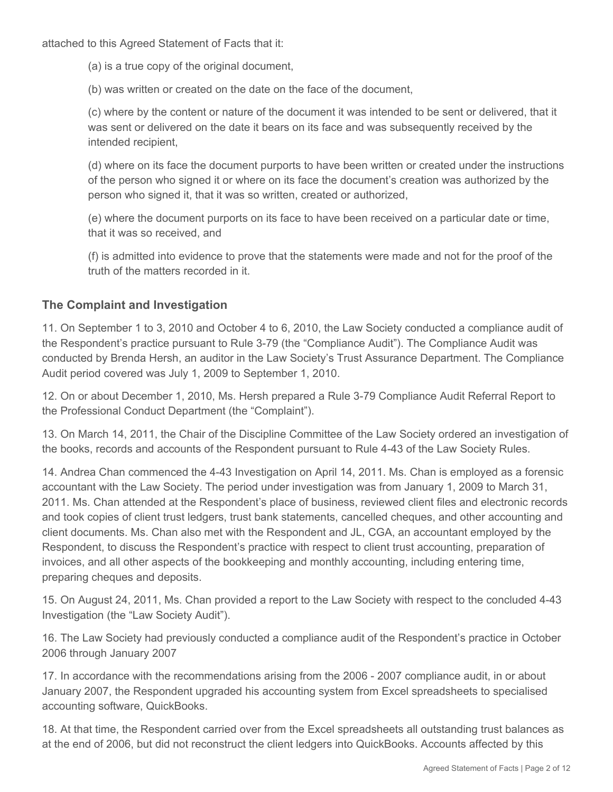attached to this Agreed Statement of Facts that it:

(a) is a true copy of the original document,

(b) was written or created on the date on the face of the document,

(c) where by the content or nature of the document it was intended to be sent or delivered, that it was sent or delivered on the date it bears on its face and was subsequently received by the intended recipient,

(d) where on its face the document purports to have been written or created under the instructions of the person who signed it or where on its face the document's creation was authorized by the person who signed it, that it was so written, created or authorized,

(e) where the document purports on its face to have been received on a particular date or time, that it was so received, and

(f) is admitted into evidence to prove that the statements were made and not for the proof of the truth of the matters recorded in it.

## **The Complaint and Investigation**

11. On September 1 to 3, 2010 and October 4 to 6, 2010, the Law Society conducted a compliance audit of the Respondent's practice pursuant to Rule 3-79 (the "Compliance Audit"). The Compliance Audit was conducted by Brenda Hersh, an auditor in the Law Society's Trust Assurance Department. The Compliance Audit period covered was July 1, 2009 to September 1, 2010.

12. On or about December 1, 2010, Ms. Hersh prepared a Rule 3-79 Compliance Audit Referral Report to the Professional Conduct Department (the "Complaint").

13. On March 14, 2011, the Chair of the Discipline Committee of the Law Society ordered an investigation of the books, records and accounts of the Respondent pursuant to Rule 4-43 of the Law Society Rules.

14. Andrea Chan commenced the 4-43 Investigation on April 14, 2011. Ms. Chan is employed as a forensic accountant with the Law Society. The period under investigation was from January 1, 2009 to March 31, 2011. Ms. Chan attended at the Respondent's place of business, reviewed client files and electronic records and took copies of client trust ledgers, trust bank statements, cancelled cheques, and other accounting and client documents. Ms. Chan also met with the Respondent and JL, CGA, an accountant employed by the Respondent, to discuss the Respondent's practice with respect to client trust accounting, preparation of invoices, and all other aspects of the bookkeeping and monthly accounting, including entering time, preparing cheques and deposits.

15. On August 24, 2011, Ms. Chan provided a report to the Law Society with respect to the concluded 4-43 Investigation (the "Law Society Audit").

16. The Law Society had previously conducted a compliance audit of the Respondent's practice in October 2006 through January 2007

17. In accordance with the recommendations arising from the 2006 - 2007 compliance audit, in or about January 2007, the Respondent upgraded his accounting system from Excel spreadsheets to specialised accounting software, QuickBooks.

18. At that time, the Respondent carried over from the Excel spreadsheets all outstanding trust balances as at the end of 2006, but did not reconstruct the client ledgers into QuickBooks. Accounts affected by this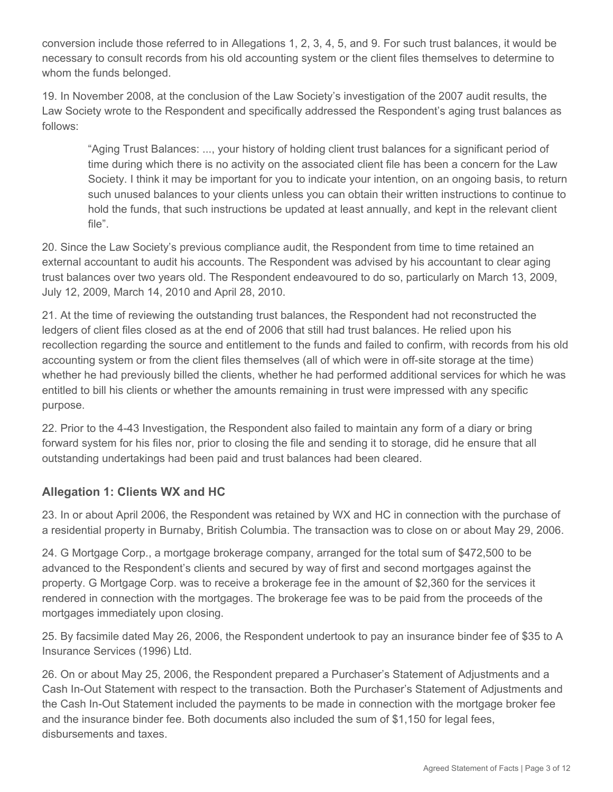conversion include those referred to in Allegations 1, 2, 3, 4, 5, and 9. For such trust balances, it would be necessary to consult records from his old accounting system or the client files themselves to determine to whom the funds belonged.

19. In November 2008, at the conclusion of the Law Society's investigation of the 2007 audit results, the Law Society wrote to the Respondent and specifically addressed the Respondent's aging trust balances as follows:

"Aging Trust Balances: ..., your history of holding client trust balances for a significant period of time during which there is no activity on the associated client file has been a concern for the Law Society. I think it may be important for you to indicate your intention, on an ongoing basis, to return such unused balances to your clients unless you can obtain their written instructions to continue to hold the funds, that such instructions be updated at least annually, and kept in the relevant client file".

20. Since the Law Society's previous compliance audit, the Respondent from time to time retained an external accountant to audit his accounts. The Respondent was advised by his accountant to clear aging trust balances over two years old. The Respondent endeavoured to do so, particularly on March 13, 2009, July 12, 2009, March 14, 2010 and April 28, 2010.

21. At the time of reviewing the outstanding trust balances, the Respondent had not reconstructed the ledgers of client files closed as at the end of 2006 that still had trust balances. He relied upon his recollection regarding the source and entitlement to the funds and failed to confirm, with records from his old accounting system or from the client files themselves (all of which were in off-site storage at the time) whether he had previously billed the clients, whether he had performed additional services for which he was entitled to bill his clients or whether the amounts remaining in trust were impressed with any specific purpose.

22. Prior to the 4-43 Investigation, the Respondent also failed to maintain any form of a diary or bring forward system for his files nor, prior to closing the file and sending it to storage, did he ensure that all outstanding undertakings had been paid and trust balances had been cleared.

# **Allegation 1: Clients WX and HC**

23. In or about April 2006, the Respondent was retained by WX and HC in connection with the purchase of a residential property in Burnaby, British Columbia. The transaction was to close on or about May 29, 2006.

24. G Mortgage Corp., a mortgage brokerage company, arranged for the total sum of \$472,500 to be advanced to the Respondent's clients and secured by way of first and second mortgages against the property. G Mortgage Corp. was to receive a brokerage fee in the amount of \$2,360 for the services it rendered in connection with the mortgages. The brokerage fee was to be paid from the proceeds of the mortgages immediately upon closing.

25. By facsimile dated May 26, 2006, the Respondent undertook to pay an insurance binder fee of \$35 to A Insurance Services (1996) Ltd.

26. On or about May 25, 2006, the Respondent prepared a Purchaser's Statement of Adjustments and a Cash In-Out Statement with respect to the transaction. Both the Purchaser's Statement of Adjustments and the Cash In-Out Statement included the payments to be made in connection with the mortgage broker fee and the insurance binder fee. Both documents also included the sum of \$1,150 for legal fees, disbursements and taxes.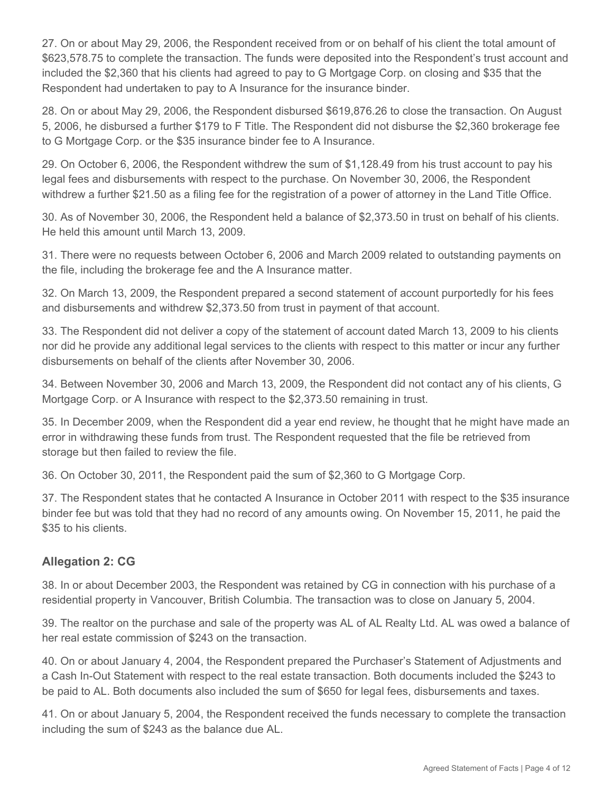27. On or about May 29, 2006, the Respondent received from or on behalf of his client the total amount of \$623,578.75 to complete the transaction. The funds were deposited into the Respondent's trust account and included the \$2,360 that his clients had agreed to pay to G Mortgage Corp. on closing and \$35 that the Respondent had undertaken to pay to A Insurance for the insurance binder.

28. On or about May 29, 2006, the Respondent disbursed \$619,876.26 to close the transaction. On August 5, 2006, he disbursed a further \$179 to F Title. The Respondent did not disburse the \$2,360 brokerage fee to G Mortgage Corp. or the \$35 insurance binder fee to A Insurance.

29. On October 6, 2006, the Respondent withdrew the sum of \$1,128.49 from his trust account to pay his legal fees and disbursements with respect to the purchase. On November 30, 2006, the Respondent withdrew a further \$21.50 as a filing fee for the registration of a power of attorney in the Land Title Office.

30. As of November 30, 2006, the Respondent held a balance of \$2,373.50 in trust on behalf of his clients. He held this amount until March 13, 2009.

31. There were no requests between October 6, 2006 and March 2009 related to outstanding payments on the file, including the brokerage fee and the A Insurance matter.

32. On March 13, 2009, the Respondent prepared a second statement of account purportedly for his fees and disbursements and withdrew \$2,373.50 from trust in payment of that account.

33. The Respondent did not deliver a copy of the statement of account dated March 13, 2009 to his clients nor did he provide any additional legal services to the clients with respect to this matter or incur any further disbursements on behalf of the clients after November 30, 2006.

34. Between November 30, 2006 and March 13, 2009, the Respondent did not contact any of his clients, G Mortgage Corp. or A Insurance with respect to the \$2,373.50 remaining in trust.

35. In December 2009, when the Respondent did a year end review, he thought that he might have made an error in withdrawing these funds from trust. The Respondent requested that the file be retrieved from storage but then failed to review the file.

36. On October 30, 2011, the Respondent paid the sum of \$2,360 to G Mortgage Corp.

37. The Respondent states that he contacted A Insurance in October 2011 with respect to the \$35 insurance binder fee but was told that they had no record of any amounts owing. On November 15, 2011, he paid the \$35 to his clients.

# **Allegation 2: CG**

38. In or about December 2003, the Respondent was retained by CG in connection with his purchase of a residential property in Vancouver, British Columbia. The transaction was to close on January 5, 2004.

39. The realtor on the purchase and sale of the property was AL of AL Realty Ltd. AL was owed a balance of her real estate commission of \$243 on the transaction.

40. On or about January 4, 2004, the Respondent prepared the Purchaser's Statement of Adjustments and a Cash In-Out Statement with respect to the real estate transaction. Both documents included the \$243 to be paid to AL. Both documents also included the sum of \$650 for legal fees, disbursements and taxes.

41. On or about January 5, 2004, the Respondent received the funds necessary to complete the transaction including the sum of \$243 as the balance due AL.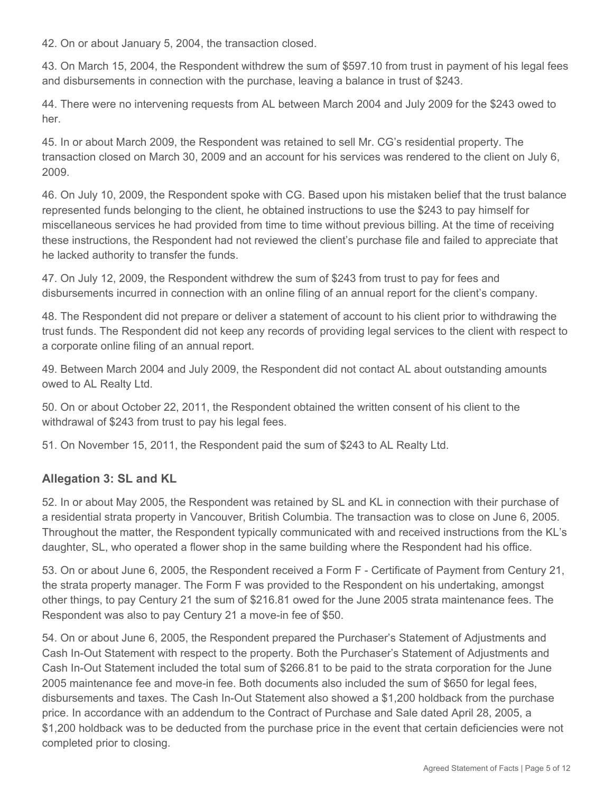42. On or about January 5, 2004, the transaction closed.

43. On March 15, 2004, the Respondent withdrew the sum of \$597.10 from trust in payment of his legal fees and disbursements in connection with the purchase, leaving a balance in trust of \$243.

44. There were no intervening requests from AL between March 2004 and July 2009 for the \$243 owed to her.

45. In or about March 2009, the Respondent was retained to sell Mr. CG's residential property. The transaction closed on March 30, 2009 and an account for his services was rendered to the client on July 6, 2009.

46. On July 10, 2009, the Respondent spoke with CG. Based upon his mistaken belief that the trust balance represented funds belonging to the client, he obtained instructions to use the \$243 to pay himself for miscellaneous services he had provided from time to time without previous billing. At the time of receiving these instructions, the Respondent had not reviewed the client's purchase file and failed to appreciate that he lacked authority to transfer the funds.

47. On July 12, 2009, the Respondent withdrew the sum of \$243 from trust to pay for fees and disbursements incurred in connection with an online filing of an annual report for the client's company.

48. The Respondent did not prepare or deliver a statement of account to his client prior to withdrawing the trust funds. The Respondent did not keep any records of providing legal services to the client with respect to a corporate online filing of an annual report.

49. Between March 2004 and July 2009, the Respondent did not contact AL about outstanding amounts owed to AL Realty Ltd.

50. On or about October 22, 2011, the Respondent obtained the written consent of his client to the withdrawal of \$243 from trust to pay his legal fees.

51. On November 15, 2011, the Respondent paid the sum of \$243 to AL Realty Ltd.

# **Allegation 3: SL and KL**

52. In or about May 2005, the Respondent was retained by SL and KL in connection with their purchase of a residential strata property in Vancouver, British Columbia. The transaction was to close on June 6, 2005. Throughout the matter, the Respondent typically communicated with and received instructions from the KL's daughter, SL, who operated a flower shop in the same building where the Respondent had his office.

53. On or about June 6, 2005, the Respondent received a Form F - Certificate of Payment from Century 21, the strata property manager. The Form F was provided to the Respondent on his undertaking, amongst other things, to pay Century 21 the sum of \$216.81 owed for the June 2005 strata maintenance fees. The Respondent was also to pay Century 21 a move-in fee of \$50.

54. On or about June 6, 2005, the Respondent prepared the Purchaser's Statement of Adjustments and Cash In-Out Statement with respect to the property. Both the Purchaser's Statement of Adjustments and Cash In-Out Statement included the total sum of \$266.81 to be paid to the strata corporation for the June 2005 maintenance fee and move-in fee. Both documents also included the sum of \$650 for legal fees, disbursements and taxes. The Cash In-Out Statement also showed a \$1,200 holdback from the purchase price. In accordance with an addendum to the Contract of Purchase and Sale dated April 28, 2005, a \$1,200 holdback was to be deducted from the purchase price in the event that certain deficiencies were not completed prior to closing.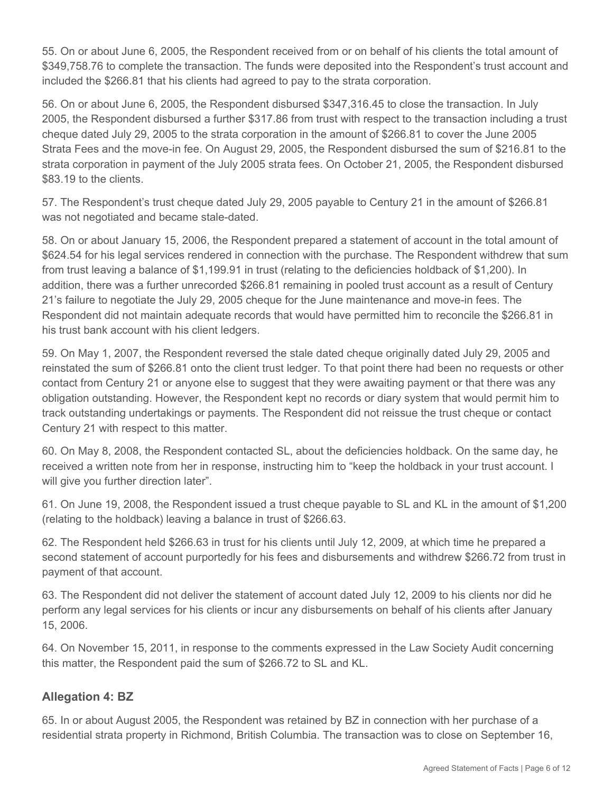55. On or about June 6, 2005, the Respondent received from or on behalf of his clients the total amount of \$349,758.76 to complete the transaction. The funds were deposited into the Respondent's trust account and included the \$266.81 that his clients had agreed to pay to the strata corporation.

56. On or about June 6, 2005, the Respondent disbursed \$347,316.45 to close the transaction. In July 2005, the Respondent disbursed a further \$317.86 from trust with respect to the transaction including a trust cheque dated July 29, 2005 to the strata corporation in the amount of \$266.81 to cover the June 2005 Strata Fees and the move-in fee. On August 29, 2005, the Respondent disbursed the sum of \$216.81 to the strata corporation in payment of the July 2005 strata fees. On October 21, 2005, the Respondent disbursed \$83.19 to the clients.

57. The Respondent's trust cheque dated July 29, 2005 payable to Century 21 in the amount of \$266.81 was not negotiated and became stale-dated.

58. On or about January 15, 2006, the Respondent prepared a statement of account in the total amount of \$624.54 for his legal services rendered in connection with the purchase. The Respondent withdrew that sum from trust leaving a balance of \$1,199.91 in trust (relating to the deficiencies holdback of \$1,200). In addition, there was a further unrecorded \$266.81 remaining in pooled trust account as a result of Century 21's failure to negotiate the July 29, 2005 cheque for the June maintenance and move-in fees. The Respondent did not maintain adequate records that would have permitted him to reconcile the \$266.81 in his trust bank account with his client ledgers.

59. On May 1, 2007, the Respondent reversed the stale dated cheque originally dated July 29, 2005 and reinstated the sum of \$266.81 onto the client trust ledger. To that point there had been no requests or other contact from Century 21 or anyone else to suggest that they were awaiting payment or that there was any obligation outstanding. However, the Respondent kept no records or diary system that would permit him to track outstanding undertakings or payments. The Respondent did not reissue the trust cheque or contact Century 21 with respect to this matter.

60. On May 8, 2008, the Respondent contacted SL, about the deficiencies holdback. On the same day, he received a written note from her in response, instructing him to "keep the holdback in your trust account. I will give you further direction later".

61. On June 19, 2008, the Respondent issued a trust cheque payable to SL and KL in the amount of \$1,200 (relating to the holdback) leaving a balance in trust of \$266.63.

62. The Respondent held \$266.63 in trust for his clients until July 12, 2009, at which time he prepared a second statement of account purportedly for his fees and disbursements and withdrew \$266.72 from trust in payment of that account.

63. The Respondent did not deliver the statement of account dated July 12, 2009 to his clients nor did he perform any legal services for his clients or incur any disbursements on behalf of his clients after January 15, 2006.

64. On November 15, 2011, in response to the comments expressed in the Law Society Audit concerning this matter, the Respondent paid the sum of \$266.72 to SL and KL.

# **Allegation 4: BZ**

65. In or about August 2005, the Respondent was retained by BZ in connection with her purchase of a residential strata property in Richmond, British Columbia. The transaction was to close on September 16,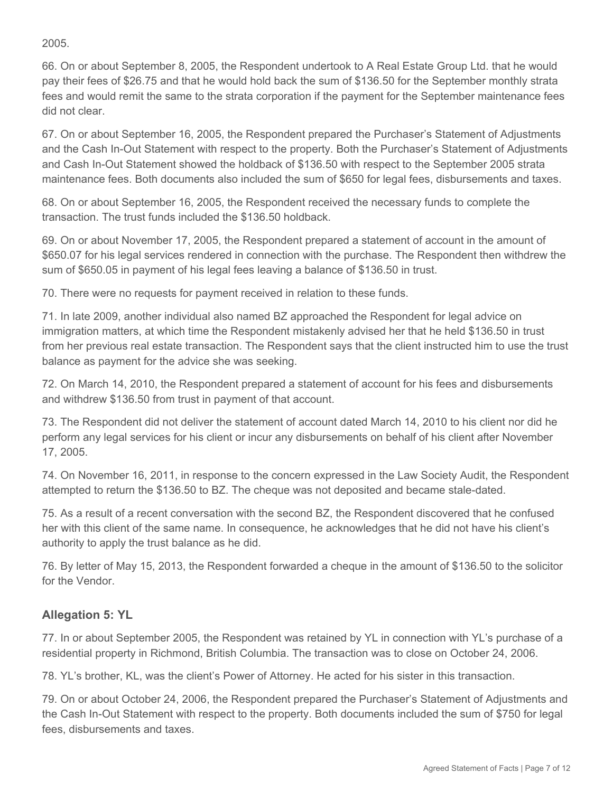## 2005.

66. On or about September 8, 2005, the Respondent undertook to A Real Estate Group Ltd. that he would pay their fees of \$26.75 and that he would hold back the sum of \$136.50 for the September monthly strata fees and would remit the same to the strata corporation if the payment for the September maintenance fees did not clear.

67. On or about September 16, 2005, the Respondent prepared the Purchaser's Statement of Adjustments and the Cash In-Out Statement with respect to the property. Both the Purchaser's Statement of Adjustments and Cash In-Out Statement showed the holdback of \$136.50 with respect to the September 2005 strata maintenance fees. Both documents also included the sum of \$650 for legal fees, disbursements and taxes.

68. On or about September 16, 2005, the Respondent received the necessary funds to complete the transaction. The trust funds included the \$136.50 holdback.

69. On or about November 17, 2005, the Respondent prepared a statement of account in the amount of \$650.07 for his legal services rendered in connection with the purchase. The Respondent then withdrew the sum of \$650.05 in payment of his legal fees leaving a balance of \$136.50 in trust.

70. There were no requests for payment received in relation to these funds.

71. In late 2009, another individual also named BZ approached the Respondent for legal advice on immigration matters, at which time the Respondent mistakenly advised her that he held \$136.50 in trust from her previous real estate transaction. The Respondent says that the client instructed him to use the trust balance as payment for the advice she was seeking.

72. On March 14, 2010, the Respondent prepared a statement of account for his fees and disbursements and withdrew \$136.50 from trust in payment of that account.

73. The Respondent did not deliver the statement of account dated March 14, 2010 to his client nor did he perform any legal services for his client or incur any disbursements on behalf of his client after November 17, 2005.

74. On November 16, 2011, in response to the concern expressed in the Law Society Audit, the Respondent attempted to return the \$136.50 to BZ. The cheque was not deposited and became stale-dated.

75. As a result of a recent conversation with the second BZ, the Respondent discovered that he confused her with this client of the same name. In consequence, he acknowledges that he did not have his client's authority to apply the trust balance as he did.

76. By letter of May 15, 2013, the Respondent forwarded a cheque in the amount of \$136.50 to the solicitor for the Vendor.

# **Allegation 5: YL**

77. In or about September 2005, the Respondent was retained by YL in connection with YL's purchase of a residential property in Richmond, British Columbia. The transaction was to close on October 24, 2006.

78. YL's brother, KL, was the client's Power of Attorney. He acted for his sister in this transaction.

79. On or about October 24, 2006, the Respondent prepared the Purchaser's Statement of Adjustments and the Cash In-Out Statement with respect to the property. Both documents included the sum of \$750 for legal fees, disbursements and taxes.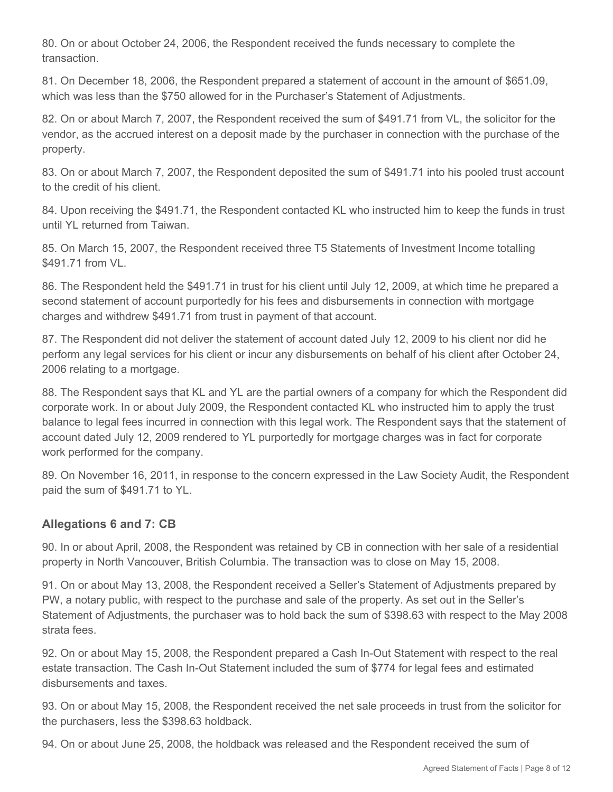80. On or about October 24, 2006, the Respondent received the funds necessary to complete the transaction.

81. On December 18, 2006, the Respondent prepared a statement of account in the amount of \$651.09, which was less than the \$750 allowed for in the Purchaser's Statement of Adjustments.

82. On or about March 7, 2007, the Respondent received the sum of \$491.71 from VL, the solicitor for the vendor, as the accrued interest on a deposit made by the purchaser in connection with the purchase of the property.

83. On or about March 7, 2007, the Respondent deposited the sum of \$491.71 into his pooled trust account to the credit of his client.

84. Upon receiving the \$491.71, the Respondent contacted KL who instructed him to keep the funds in trust until YL returned from Taiwan.

85. On March 15, 2007, the Respondent received three T5 Statements of Investment Income totalling \$491.71 from VL.

86. The Respondent held the \$491.71 in trust for his client until July 12, 2009, at which time he prepared a second statement of account purportedly for his fees and disbursements in connection with mortgage charges and withdrew \$491.71 from trust in payment of that account.

87. The Respondent did not deliver the statement of account dated July 12, 2009 to his client nor did he perform any legal services for his client or incur any disbursements on behalf of his client after October 24, 2006 relating to a mortgage.

88. The Respondent says that KL and YL are the partial owners of a company for which the Respondent did corporate work. In or about July 2009, the Respondent contacted KL who instructed him to apply the trust balance to legal fees incurred in connection with this legal work. The Respondent says that the statement of account dated July 12, 2009 rendered to YL purportedly for mortgage charges was in fact for corporate work performed for the company.

89. On November 16, 2011, in response to the concern expressed in the Law Society Audit, the Respondent paid the sum of \$491.71 to YL.

# **Allegations 6 and 7: CB**

90. In or about April, 2008, the Respondent was retained by CB in connection with her sale of a residential property in North Vancouver, British Columbia. The transaction was to close on May 15, 2008.

91. On or about May 13, 2008, the Respondent received a Seller's Statement of Adjustments prepared by PW, a notary public, with respect to the purchase and sale of the property. As set out in the Seller's Statement of Adjustments, the purchaser was to hold back the sum of \$398.63 with respect to the May 2008 strata fees.

92. On or about May 15, 2008, the Respondent prepared a Cash In-Out Statement with respect to the real estate transaction. The Cash In-Out Statement included the sum of \$774 for legal fees and estimated disbursements and taxes.

93. On or about May 15, 2008, the Respondent received the net sale proceeds in trust from the solicitor for the purchasers, less the \$398.63 holdback.

94. On or about June 25, 2008, the holdback was released and the Respondent received the sum of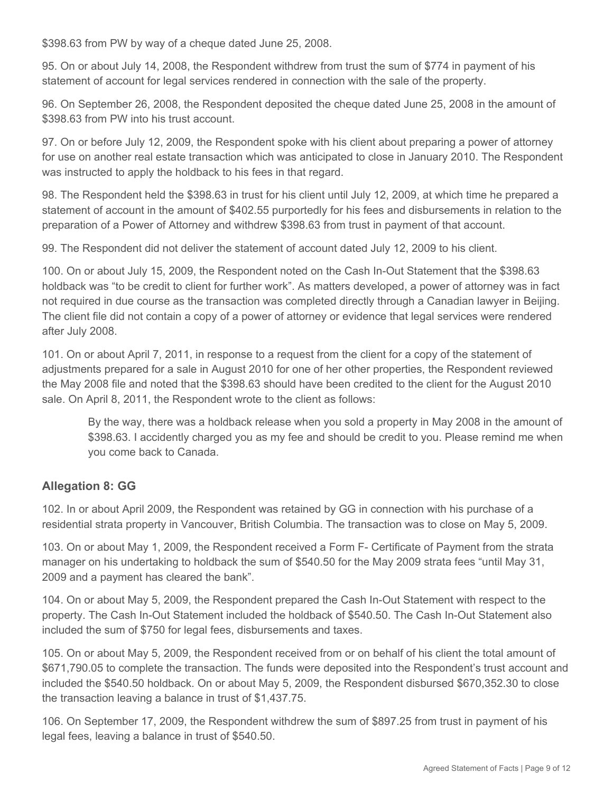\$398.63 from PW by way of a cheque dated June 25, 2008.

95. On or about July 14, 2008, the Respondent withdrew from trust the sum of \$774 in payment of his statement of account for legal services rendered in connection with the sale of the property.

96. On September 26, 2008, the Respondent deposited the cheque dated June 25, 2008 in the amount of \$398.63 from PW into his trust account.

97. On or before July 12, 2009, the Respondent spoke with his client about preparing a power of attorney for use on another real estate transaction which was anticipated to close in January 2010. The Respondent was instructed to apply the holdback to his fees in that regard.

98. The Respondent held the \$398.63 in trust for his client until July 12, 2009, at which time he prepared a statement of account in the amount of \$402.55 purportedly for his fees and disbursements in relation to the preparation of a Power of Attorney and withdrew \$398.63 from trust in payment of that account.

99. The Respondent did not deliver the statement of account dated July 12, 2009 to his client.

100. On or about July 15, 2009, the Respondent noted on the Cash In-Out Statement that the \$398.63 holdback was "to be credit to client for further work". As matters developed, a power of attorney was in fact not required in due course as the transaction was completed directly through a Canadian lawyer in Beijing. The client file did not contain a copy of a power of attorney or evidence that legal services were rendered after July 2008.

101. On or about April 7, 2011, in response to a request from the client for a copy of the statement of adjustments prepared for a sale in August 2010 for one of her other properties, the Respondent reviewed the May 2008 file and noted that the \$398.63 should have been credited to the client for the August 2010 sale. On April 8, 2011, the Respondent wrote to the client as follows:

By the way, there was a holdback release when you sold a property in May 2008 in the amount of \$398.63. I accidently charged you as my fee and should be credit to you. Please remind me when you come back to Canada.

# **Allegation 8: GG**

102. In or about April 2009, the Respondent was retained by GG in connection with his purchase of a residential strata property in Vancouver, British Columbia. The transaction was to close on May 5, 2009.

103. On or about May 1, 2009, the Respondent received a Form F- Certificate of Payment from the strata manager on his undertaking to holdback the sum of \$540.50 for the May 2009 strata fees "until May 31, 2009 and a payment has cleared the bank".

104. On or about May 5, 2009, the Respondent prepared the Cash In-Out Statement with respect to the property. The Cash In-Out Statement included the holdback of \$540.50. The Cash In-Out Statement also included the sum of \$750 for legal fees, disbursements and taxes.

105. On or about May 5, 2009, the Respondent received from or on behalf of his client the total amount of \$671,790.05 to complete the transaction. The funds were deposited into the Respondent's trust account and included the \$540.50 holdback. On or about May 5, 2009, the Respondent disbursed \$670,352.30 to close the transaction leaving a balance in trust of \$1,437.75.

106. On September 17, 2009, the Respondent withdrew the sum of \$897.25 from trust in payment of his legal fees, leaving a balance in trust of \$540.50.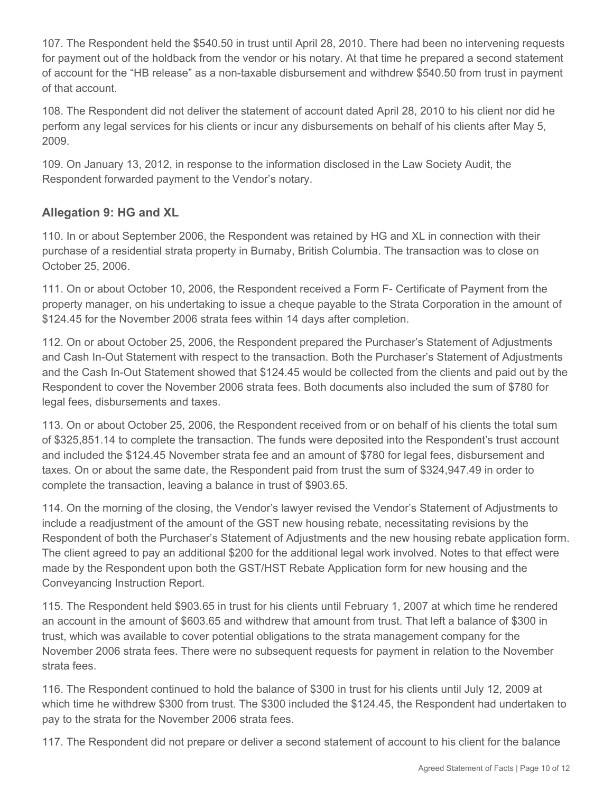107. The Respondent held the \$540.50 in trust until April 28, 2010. There had been no intervening requests for payment out of the holdback from the vendor or his notary. At that time he prepared a second statement of account for the "HB release" as a non-taxable disbursement and withdrew \$540.50 from trust in payment of that account.

108. The Respondent did not deliver the statement of account dated April 28, 2010 to his client nor did he perform any legal services for his clients or incur any disbursements on behalf of his clients after May 5, 2009.

109. On January 13, 2012, in response to the information disclosed in the Law Society Audit, the Respondent forwarded payment to the Vendor's notary.

# **Allegation 9: HG and XL**

110. In or about September 2006, the Respondent was retained by HG and XL in connection with their purchase of a residential strata property in Burnaby, British Columbia. The transaction was to close on October 25, 2006.

111. On or about October 10, 2006, the Respondent received a Form F- Certificate of Payment from the property manager, on his undertaking to issue a cheque payable to the Strata Corporation in the amount of \$124.45 for the November 2006 strata fees within 14 days after completion.

112. On or about October 25, 2006, the Respondent prepared the Purchaser's Statement of Adjustments and Cash In-Out Statement with respect to the transaction. Both the Purchaser's Statement of Adjustments and the Cash In-Out Statement showed that \$124.45 would be collected from the clients and paid out by the Respondent to cover the November 2006 strata fees. Both documents also included the sum of \$780 for legal fees, disbursements and taxes.

113. On or about October 25, 2006, the Respondent received from or on behalf of his clients the total sum of \$325,851.14 to complete the transaction. The funds were deposited into the Respondent's trust account and included the \$124.45 November strata fee and an amount of \$780 for legal fees, disbursement and taxes. On or about the same date, the Respondent paid from trust the sum of \$324,947.49 in order to complete the transaction, leaving a balance in trust of \$903.65.

114. On the morning of the closing, the Vendor's lawyer revised the Vendor's Statement of Adjustments to include a readjustment of the amount of the GST new housing rebate, necessitating revisions by the Respondent of both the Purchaser's Statement of Adjustments and the new housing rebate application form. The client agreed to pay an additional \$200 for the additional legal work involved. Notes to that effect were made by the Respondent upon both the GST/HST Rebate Application form for new housing and the Conveyancing Instruction Report.

115. The Respondent held \$903.65 in trust for his clients until February 1, 2007 at which time he rendered an account in the amount of \$603.65 and withdrew that amount from trust. That left a balance of \$300 in trust, which was available to cover potential obligations to the strata management company for the November 2006 strata fees. There were no subsequent requests for payment in relation to the November strata fees.

116. The Respondent continued to hold the balance of \$300 in trust for his clients until July 12, 2009 at which time he withdrew \$300 from trust. The \$300 included the \$124.45, the Respondent had undertaken to pay to the strata for the November 2006 strata fees.

117. The Respondent did not prepare or deliver a second statement of account to his client for the balance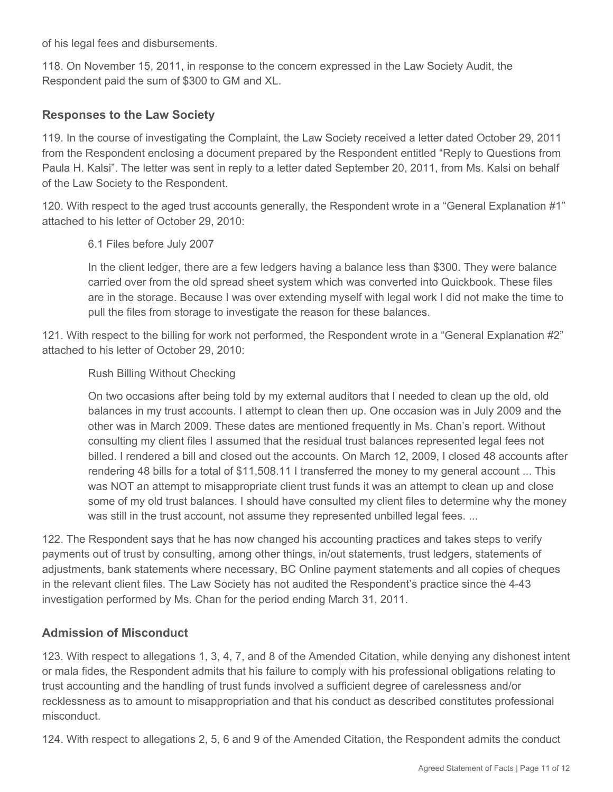of his legal fees and disbursements.

118. On November 15, 2011, in response to the concern expressed in the Law Society Audit, the Respondent paid the sum of \$300 to GM and XL.

## **Responses to the Law Society**

119. In the course of investigating the Complaint, the Law Society received a letter dated October 29, 2011 from the Respondent enclosing a document prepared by the Respondent entitled "Reply to Questions from Paula H. Kalsi". The letter was sent in reply to a letter dated September 20, 2011, from Ms. Kalsi on behalf of the Law Society to the Respondent.

120. With respect to the aged trust accounts generally, the Respondent wrote in a "General Explanation #1" attached to his letter of October 29, 2010:

### 6.1 Files before July 2007

In the client ledger, there are a few ledgers having a balance less than \$300. They were balance carried over from the old spread sheet system which was converted into Quickbook. These files are in the storage. Because I was over extending myself with legal work I did not make the time to pull the files from storage to investigate the reason for these balances.

121. With respect to the billing for work not performed, the Respondent wrote in a "General Explanation #2" attached to his letter of October 29, 2010:

### Rush Billing Without Checking

On two occasions after being told by my external auditors that I needed to clean up the old, old balances in my trust accounts. I attempt to clean then up. One occasion was in July 2009 and the other was in March 2009. These dates are mentioned frequently in Ms. Chan's report. Without consulting my client files I assumed that the residual trust balances represented legal fees not billed. I rendered a bill and closed out the accounts. On March 12, 2009, I closed 48 accounts after rendering 48 bills for a total of \$11,508.11 I transferred the money to my general account ... This was NOT an attempt to misappropriate client trust funds it was an attempt to clean up and close some of my old trust balances. I should have consulted my client files to determine why the money was still in the trust account, not assume they represented unbilled legal fees. ...

122. The Respondent says that he has now changed his accounting practices and takes steps to verify payments out of trust by consulting, among other things, in/out statements, trust ledgers, statements of adjustments, bank statements where necessary, BC Online payment statements and all copies of cheques in the relevant client files. The Law Society has not audited the Respondent's practice since the 4-43 investigation performed by Ms. Chan for the period ending March 31, 2011.

## **Admission of Misconduct**

123. With respect to allegations 1, 3, 4, 7, and 8 of the Amended Citation, while denying any dishonest intent or mala fides, the Respondent admits that his failure to comply with his professional obligations relating to trust accounting and the handling of trust funds involved a sufficient degree of carelessness and/or recklessness as to amount to misappropriation and that his conduct as described constitutes professional misconduct.

124. With respect to allegations 2, 5, 6 and 9 of the Amended Citation, the Respondent admits the conduct